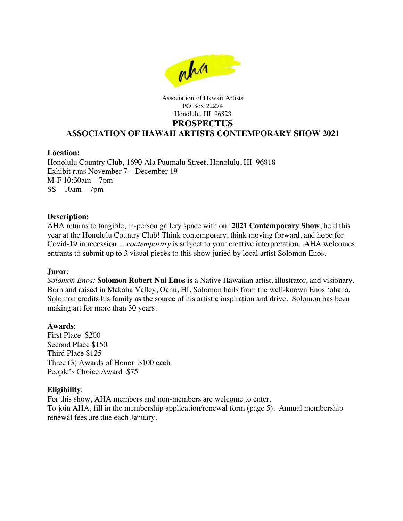

### Association of Hawaii Artists PO Box 22274 Honolulu, HI 96823 **PROSPECTUS ASSOCIATION OF HAWAII ARTISTS CONTEMPORARY SHOW 2021**

## **Location:**

Honolulu Country Club, 1690 Ala Puumalu Street, Honolulu, HI 96818 Exhibit runs November 7 – December 19 M-F 10:30am – 7pm  $SS$  10am – 7pm

## **Description:**

AHA returns to tangible, in-person gallery space with our **2021 Contemporary Show**, held this year at the Honolulu Country Club! Think contemporary, think moving forward, and hope for Covid-19 in recession… *contemporary* is subject to your creative interpretation. AHA welcomes entrants to submit up to 3 visual pieces to this show juried by local artist Solomon Enos.

#### **Juror**:

*Solomon Enos:* **Solomon Robert Nui Enos** is a Native Hawaiian artist, illustrator, and visionary. Born and raised in Makaha Valley, Oahu, HI, Solomon hails from the well-known Enos 'ohana. Solomon credits his family as the source of his artistic inspiration and drive. Solomon has been making art for more than 30 years.

#### **Awards**:

First Place \$200 Second Place \$150 Third Place \$125 Three (3) Awards of Honor \$100 each People's Choice Award \$75

#### **Eligibility**:

For this show, AHA members and non-members are welcome to enter. To join AHA, fill in the membership application/renewal form (page 5). Annual membership renewal fees are due each January.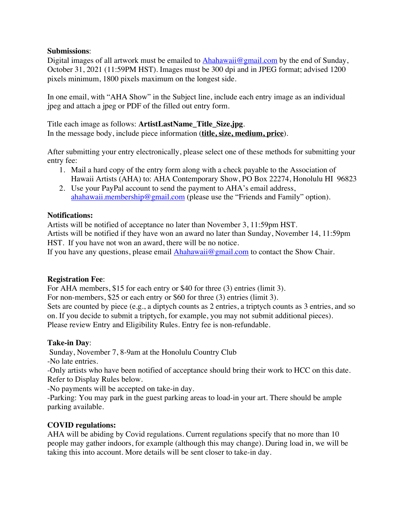## **Submissions**:

Digital images of all artwork must be emailed to Ahahawaii@gmail.com by the end of Sunday, October 31, 2021 (11:59PM HST). Images must be 300 dpi and in JPEG format; advised 1200 pixels minimum, 1800 pixels maximum on the longest side.

In one email, with "AHA Show" in the Subject line, include each entry image as an individual jpeg and attach a jpeg or PDF of the filled out entry form.

Title each image as follows: **ArtistLastName\_Title\_Size.jpg**. In the message body, include piece information (**title, size, medium, price**).

After submitting your entry electronically, please select one of these methods for submitting your entry fee:

- 1. Mail a hard copy of the entry form along with a check payable to the Association of Hawaii Artists (AHA) to: AHA Contemporary Show, PO Box 22274, Honolulu HI 96823
- 2. Use your PayPal account to send the payment to AHA's email address, ahahawaii.membership@gmail.com (please use the "Friends and Family" option).

# **Notifications:**

Artists will be notified of acceptance no later than November 3, 11:59pm HST. Artists will be notified if they have won an award no later than Sunday, November 14, 11:59pm HST. If you have not won an award, there will be no notice.

If you have any questions, please email  $A$ hahawaii@gmail.com to contact the Show Chair.

# **Registration Fee**:

For AHA members, \$15 for each entry or \$40 for three (3) entries (limit 3).

For non-members, \$25 or each entry or \$60 for three (3) entries (limit 3).

Sets are counted by piece (e.g., a diptych counts as 2 entries, a triptych counts as 3 entries, and so on. If you decide to submit a triptych, for example, you may not submit additional pieces). Please review Entry and Eligibility Rules. Entry fee is non-refundable.

# **Take-in Day**:

Sunday, November 7, 8-9am at the Honolulu Country Club

-No late entries.

-Only artists who have been notified of acceptance should bring their work to HCC on this date. Refer to Display Rules below.

-No payments will be accepted on take-in day.

-Parking: You may park in the guest parking areas to load-in your art. There should be ample parking available.

# **COVID regulations:**

AHA will be abiding by Covid regulations. Current regulations specify that no more than 10 people may gather indoors, for example (although this may change). During load in, we will be taking this into account. More details will be sent closer to take-in day.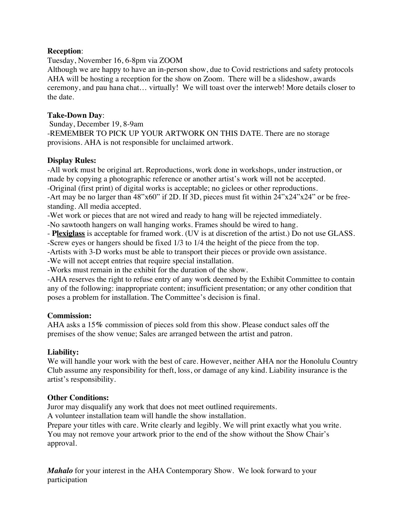## **Reception**:

Tuesday, November 16, 6-8pm via ZOOM

Although we are happy to have an in-person show, due to Covid restrictions and safety protocols AHA will be hosting a reception for the show on Zoom. There will be a slideshow, awards ceremony, and pau hana chat… virtually! We will toast over the interweb! More details closer to the date.

## **Take-Down Day**:

 Sunday, December 19, 8-9am -REMEMBER TO PICK UP YOUR ARTWORK ON THIS DATE. There are no storage provisions. AHA is not responsible for unclaimed artwork.

# **Display Rules:**

-All work must be original art. Reproductions, work done in workshops, under instruction, or made by copying a photographic reference or another artist's work will not be accepted.

-Original (first print) of digital works is acceptable; no giclees or other reproductions.

-Art may be no larger than 48"x60" if 2D. If 3D, pieces must fit within 24"x24"x24" or be freestanding. All media accepted.

-Wet work or pieces that are not wired and ready to hang will be rejected immediately.

-No sawtooth hangers on wall hanging works. Frames should be wired to hang.

- **Plexiglass** is acceptable for framed work. (UV is at discretion of the artist.) Do not use GLASS.

-Screw eyes or hangers should be fixed 1/3 to 1/4 the height of the piece from the top.

-Artists with 3-D works must be able to transport their pieces or provide own assistance.

-We will not accept entries that require special installation.

-Works must remain in the exhibit for the duration of the show.

-AHA reserves the right to refuse entry of any work deemed by the Exhibit Committee to contain any of the following: inappropriate content; insufficient presentation; or any other condition that poses a problem for installation. The Committee's decision is final.

## **Commission:**

AHA asks a 15**%** commission of pieces sold from this show. Please conduct sales off the premises of the show venue; Sales are arranged between the artist and patron.

# **Liability:**

We will handle your work with the best of care. However, neither AHA nor the Honolulu Country Club assume any responsibility for theft, loss, or damage of any kind. Liability insurance is the artist's responsibility.

# **Other Conditions:**

Juror may disqualify any work that does not meet outlined requirements.

A volunteer installation team will handle the show installation.

Prepare your titles with care. Write clearly and legibly. We will print exactly what you write. You may not remove your artwork prior to the end of the show without the Show Chair's approval.

*Mahalo* for your interest in the AHA Contemporary Show. We look forward to your participation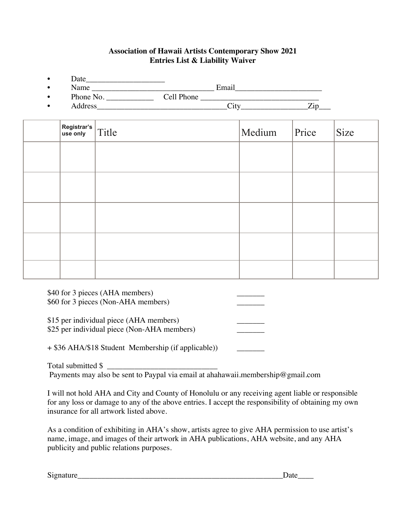# **Association of Hawaii Artists Contemporary Show 2021 Entries List & Liability Waiver**

- $Date$  Date
- Name \_\_\_\_\_\_\_\_\_\_\_\_\_\_\_\_\_\_\_\_\_\_\_\_\_\_\_\_\_\_\_ Email\_\_\_\_\_\_\_\_\_\_\_\_\_\_\_\_\_\_\_\_\_\_
- Phone No. \_\_\_\_\_\_\_\_\_\_\_\_ Cell Phone \_\_\_\_\_\_\_\_\_\_\_\_\_\_\_\_\_\_\_\_\_\_\_\_\_\_\_\_\_\_
- Address City City  $\overline{C}$

| Registrar's $\vert$ Title | Medium | Price | Size |
|---------------------------|--------|-------|------|
|                           |        |       |      |
|                           |        |       |      |
|                           |        |       |      |
|                           |        |       |      |
|                           |        |       |      |

\$40 for 3 pieces (AHA members) \$60 for 3 pieces (Non-AHA members)

\$15 per individual piece (AHA members) \$25 per individual piece (Non-AHA members)

+ \$36 AHA/\$18 Student Membership (if applicable))

Total submitted  $\frac{1}{2}$ 

Payments may also be sent to Paypal via email at ahahawaii.membership@gmail.com

I will not hold AHA and City and County of Honolulu or any receiving agent liable or responsible for any loss or damage to any of the above entries. I accept the responsibility of obtaining my own insurance for all artwork listed above.

As a condition of exhibiting in AHA's show, artists agree to give AHA permission to use artist's name, image, and images of their artwork in AHA publications, AHA website, and any AHA publicity and public relations purposes.

Signature **Secure** 2 and  $\overline{a}$  by  $\overline{b}$  and  $\overline{c}$  by  $\overline{c}$  by  $\overline{c}$  by  $\overline{c}$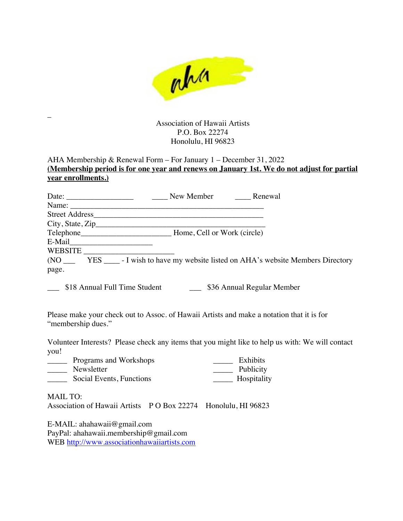

Association of Hawaii Artists P.O. Box 22274 Honolulu, HI 96823

# AHA Membership & Renewal Form – For January 1 – December 31, 2022 **(Membership period is for one year and renews on January 1st. We do not adjust for partial year enrollments.)**

|                                                                                                                                                                                                                                | New Member                  | Renewal                                                                          |
|--------------------------------------------------------------------------------------------------------------------------------------------------------------------------------------------------------------------------------|-----------------------------|----------------------------------------------------------------------------------|
| Name: $\_\_$                                                                                                                                                                                                                   |                             |                                                                                  |
| Street Address                                                                                                                                                                                                                 |                             |                                                                                  |
|                                                                                                                                                                                                                                |                             |                                                                                  |
| Telephone <b>Exercise Exercise 2018</b>                                                                                                                                                                                        | Home, Cell or Work (circle) |                                                                                  |
| E-Mail but the same state of the state of the state of the state of the state of the state of the state of the state of the state of the state of the state of the state of the state of the state of the state of the state o |                             |                                                                                  |
| WEBSITE                                                                                                                                                                                                                        |                             |                                                                                  |
| (NO)                                                                                                                                                                                                                           |                             | YES ______ - I wish to have my website listed on AHA's website Members Directory |
| page.                                                                                                                                                                                                                          |                             |                                                                                  |
|                                                                                                                                                                                                                                |                             |                                                                                  |

\_\_\_ \$18 Annual Full Time Student \_\_\_ \$36 Annual Regular Member

Please make your check out to Assoc. of Hawaii Artists and make a notation that it is for "membership dues."

Volunteer Interests? Please check any items that you might like to help us with: We will contact you!

| Programs and Workshops   | Exhibits    |
|--------------------------|-------------|
| Newsletter               | Publicity   |
| Social Events, Functions | Hospitality |

MAIL TO:

\_

Association of Hawaii Artists P O Box 22274 Honolulu, HI 96823

E-MAIL: ahahawaii@gmail.com PayPal: ahahawaii.membership@gmail.com WEB http://www.associationhawaiiartists.com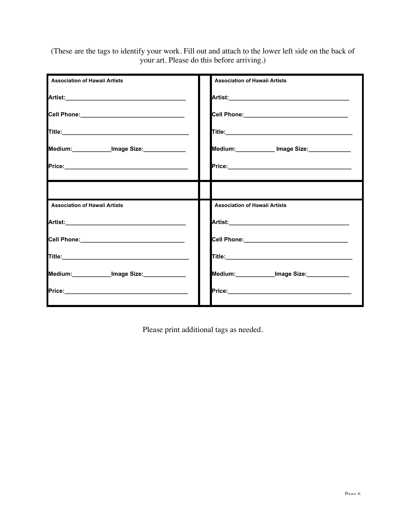(These are the tags to identify your work. Fill out and attach to the lower left side on the back of your art. Please do this before arriving.)

| <b>Association of Hawaii Artists</b>           | <b>Association of Hawaii Artists</b>           |
|------------------------------------------------|------------------------------------------------|
|                                                |                                                |
| Cell Phone:___________________________________ |                                                |
|                                                |                                                |
| Medium:_____________Image Size:_____________   | Medium: _____________ Image Size: ____________ |
|                                                |                                                |
|                                                |                                                |
| <b>Association of Hawaii Artists</b>           | <b>Association of Hawaii Artists</b>           |
|                                                |                                                |
| Cell Phone:__________________________________  | Cell Phone: Management Cell Phone:             |
|                                                |                                                |
| Medium:____________Image Size:____________     | Medium:____________Image Size:____________     |
|                                                |                                                |

Please print additional tags as needed.